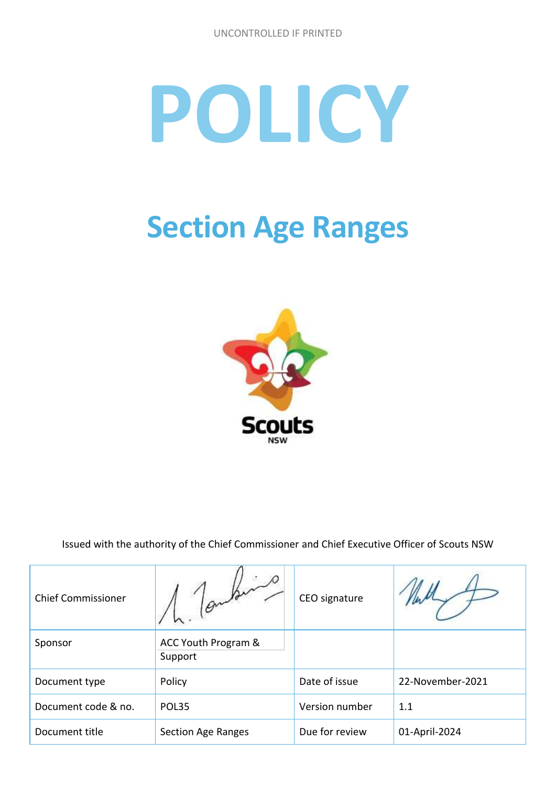# **POLICY**

## **Section Age Ranges**



Issued with the authority of the Chief Commissioner and Chief Executive Officer of Scouts NSW

| <b>Chief Commissioner</b> |                                | CEO signature  |                  |
|---------------------------|--------------------------------|----------------|------------------|
| Sponsor                   | ACC Youth Program &<br>Support |                |                  |
| Document type             | Policy                         | Date of issue  | 22-November-2021 |
| Document code & no.       | POL35                          |                | 1.1              |
| Document title            | <b>Section Age Ranges</b>      | Due for review | 01-April-2024    |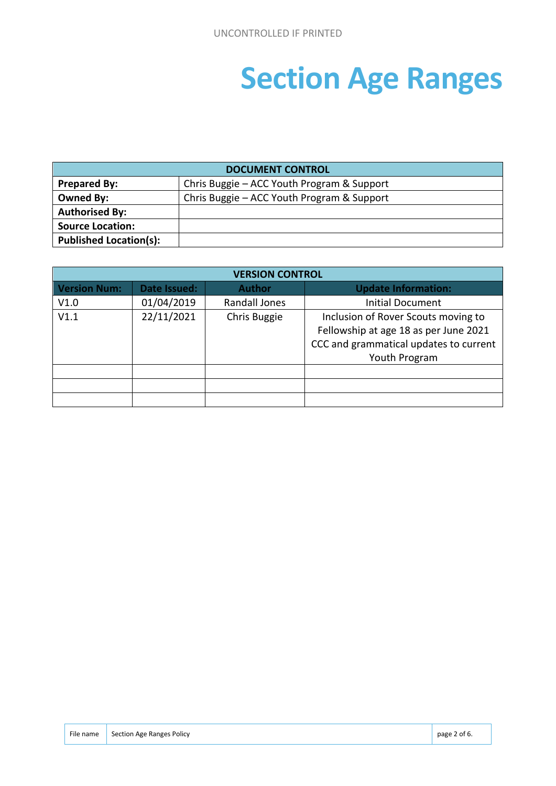## **Section Age Ranges**

| <b>DOCUMENT CONTROL</b>       |                                            |  |  |  |
|-------------------------------|--------------------------------------------|--|--|--|
| <b>Prepared By:</b>           | Chris Buggie - ACC Youth Program & Support |  |  |  |
| <b>Owned By:</b>              | Chris Buggie – ACC Youth Program & Support |  |  |  |
| <b>Authorised By:</b>         |                                            |  |  |  |
| <b>Source Location:</b>       |                                            |  |  |  |
| <b>Published Location(s):</b> |                                            |  |  |  |

| <b>VERSION CONTROL</b> |              |                      |                                        |  |  |
|------------------------|--------------|----------------------|----------------------------------------|--|--|
| <b>Version Num:</b>    | Date Issued: | <b>Author</b>        | <b>Update Information:</b>             |  |  |
| V1.0                   | 01/04/2019   | <b>Randall Jones</b> | <b>Initial Document</b>                |  |  |
| V1.1                   | 22/11/2021   | Chris Buggie         | Inclusion of Rover Scouts moving to    |  |  |
|                        |              |                      | Fellowship at age 18 as per June 2021  |  |  |
|                        |              |                      | CCC and grammatical updates to current |  |  |
|                        |              |                      | Youth Program                          |  |  |
|                        |              |                      |                                        |  |  |
|                        |              |                      |                                        |  |  |
|                        |              |                      |                                        |  |  |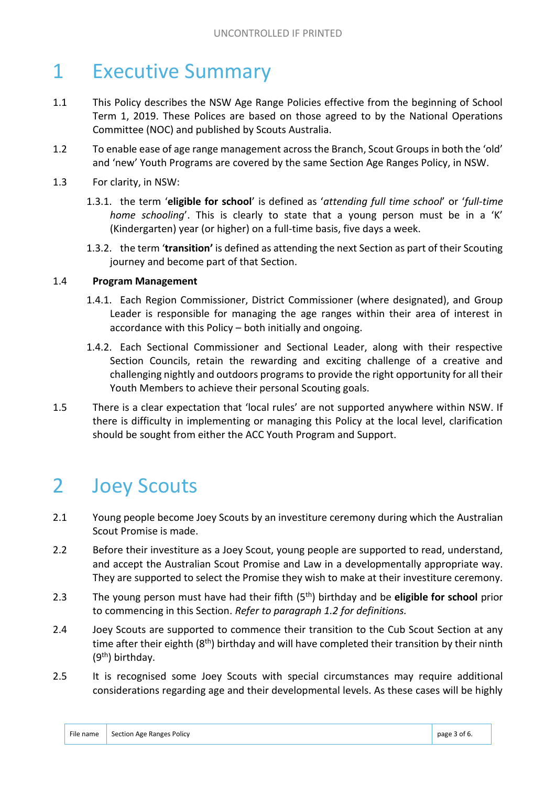### 1 Executive Summary

- 1.1 This Policy describes the NSW Age Range Policies effective from the beginning of School Term 1, 2019. These Polices are based on those agreed to by the National Operations Committee (NOC) and published by Scouts Australia.
- 1.2 To enable ease of age range management across the Branch, Scout Groups in both the 'old' and 'new' Youth Programs are covered by the same Section Age Ranges Policy, in NSW.
- 1.3 For clarity, in NSW:
	- 1.3.1. the term '**eligible for school**' is defined as '*attending full time school*' or '*full-time home schooling*'. This is clearly to state that a young person must be in a 'K' (Kindergarten) year (or higher) on a full-time basis, five days a week.
	- 1.3.2. the term '**transition'** is defined as attending the next Section as part of their Scouting journey and become part of that Section.

#### 1.4 **Program Management**

- 1.4.1. Each Region Commissioner, District Commissioner (where designated), and Group Leader is responsible for managing the age ranges within their area of interest in accordance with this Policy – both initially and ongoing.
- 1.4.2. Each Sectional Commissioner and Sectional Leader, along with their respective Section Councils, retain the rewarding and exciting challenge of a creative and challenging nightly and outdoors programs to provide the right opportunity for all their Youth Members to achieve their personal Scouting goals.
- 1.5 There is a clear expectation that 'local rules' are not supported anywhere within NSW. If there is difficulty in implementing or managing this Policy at the local level, clarification should be sought from either the ACC Youth Program and Support.

#### 2 Joey Scouts

- 2.1 Young people become Joey Scouts by an investiture ceremony during which the Australian Scout Promise is made.
- 2.2 Before their investiture as a Joey Scout, young people are supported to read, understand, and accept the Australian Scout Promise and Law in a developmentally appropriate way. They are supported to select the Promise they wish to make at their investiture ceremony.
- 2.3 The young person must have had their fifth (5th) birthday and be **eligible for school** prior to commencing in this Section. *Refer to paragraph 1.2 for definitions.*
- 2.4 Joey Scouts are supported to commence their transition to the Cub Scout Section at any time after their eighth  $(8<sup>th</sup>)$  birthday and will have completed their transition by their ninth (9th) birthday.
- 2.5 It is recognised some Joey Scouts with special circumstances may require additional considerations regarding age and their developmental levels. As these cases will be highly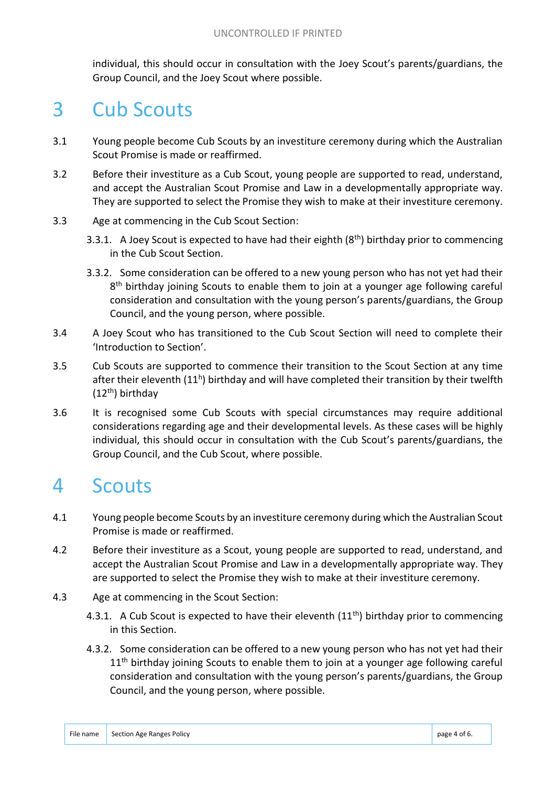individual, this should occur in consultation with the Joey Scout's parents/guardians, the Group Council, and the Joey Scout where possible.

#### 3 Cub Scouts

- 3.1 Young people become Cub Scouts by an investiture ceremony during which the Australian Scout Promise is made or reaffirmed.
- 3.2 Before their investiture as a Cub Scout, young people are supported to read, understand, and accept the Australian Scout Promise and Law in a developmentally appropriate way. They are supported to select the Promise they wish to make at their investiture ceremony.
- 3.3 Age at commencing in the Cub Scout Section:
	- 3.3.1. A Joey Scout is expected to have had their eighth  $(8<sup>th</sup>)$  birthday prior to commencing in the Cub Scout Section.
	- 3.3.2. Some consideration can be offered to a new young person who has not yet had their 8<sup>th</sup> birthday joining Scouts to enable them to join at a younger age following careful consideration and consultation with the young person's parents/guardians, the Group Council, and the young person, where possible.
- 3.4 A Joey Scout who has transitioned to the Cub Scout Section will need to complete their 'Introduction to Section'.
- 3.5 Cub Scouts are supported to commence their transition to the Scout Section at any time after their eleventh (11<sup>h</sup>) birthday and will have completed their transition by their twelfth (12th) birthday
- 3.6 It is recognised some Cub Scouts with special circumstances may require additional considerations regarding age and their developmental levels. As these cases will be highly individual, this should occur in consultation with the Cub Scout's parents/guardians, the Group Council, and the Cub Scout, where possible.

#### 4 Scouts

- 4.1 Young people become Scouts by an investiture ceremony during which the Australian Scout Promise is made or reaffirmed.
- 4.2 Before their investiture as a Scout, young people are supported to read, understand, and accept the Australian Scout Promise and Law in a developmentally appropriate way. They are supported to select the Promise they wish to make at their investiture ceremony.
- 4.3 Age at commencing in the Scout Section:
	- 4.3.1. A Cub Scout is expected to have their eleventh  $(11<sup>th</sup>)$  birthday prior to commencing in this Section.
	- 4.3.2. Some consideration can be offered to a new young person who has not yet had their  $11<sup>th</sup>$  birthday joining Scouts to enable them to join at a younger age following careful consideration and consultation with the young person's parents/guardians, the Group Council, and the young person, where possible.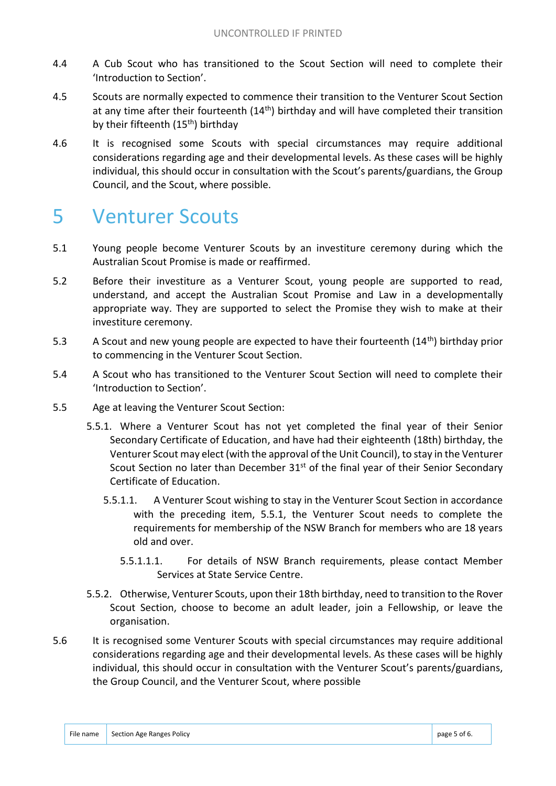- 4.4 A Cub Scout who has transitioned to the Scout Section will need to complete their 'Introduction to Section'.
- 4.5 Scouts are normally expected to commence their transition to the Venturer Scout Section at any time after their fourteenth  $(14<sup>th</sup>)$  birthday and will have completed their transition by their fifteenth (15<sup>th</sup>) birthday
- 4.6 It is recognised some Scouts with special circumstances may require additional considerations regarding age and their developmental levels. As these cases will be highly individual, this should occur in consultation with the Scout's parents/guardians, the Group Council, and the Scout, where possible.

#### 5 Venturer Scouts

- 5.1 Young people become Venturer Scouts by an investiture ceremony during which the Australian Scout Promise is made or reaffirmed.
- 5.2 Before their investiture as a Venturer Scout, young people are supported to read, understand, and accept the Australian Scout Promise and Law in a developmentally appropriate way. They are supported to select the Promise they wish to make at their investiture ceremony.
- 5.3 A Scout and new young people are expected to have their fourteenth (14<sup>th</sup>) birthday prior to commencing in the Venturer Scout Section.
- 5.4 A Scout who has transitioned to the Venturer Scout Section will need to complete their 'Introduction to Section'.
- 5.5 Age at leaving the Venturer Scout Section:
	- 5.5.1. Where a Venturer Scout has not yet completed the final year of their Senior Secondary Certificate of Education, and have had their eighteenth (18th) birthday, the Venturer Scout may elect (with the approval of the Unit Council), to stay in the Venturer Scout Section no later than December 31<sup>st</sup> of the final year of their Senior Secondary Certificate of Education.
		- 5.5.1.1. A Venturer Scout wishing to stay in the Venturer Scout Section in accordance with the preceding item, 5.5.1, the Venturer Scout needs to complete the requirements for membership of the NSW Branch for members who are 18 years old and over.
			- 5.5.1.1.1. For details of NSW Branch requirements, please contact Member Services at State Service Centre.
	- 5.5.2. Otherwise, Venturer Scouts, upon their 18th birthday, need to transition to the Rover Scout Section, choose to become an adult leader, join a Fellowship, or leave the organisation.
- 5.6 It is recognised some Venturer Scouts with special circumstances may require additional considerations regarding age and their developmental levels. As these cases will be highly individual, this should occur in consultation with the Venturer Scout's parents/guardians, the Group Council, and the Venturer Scout, where possible